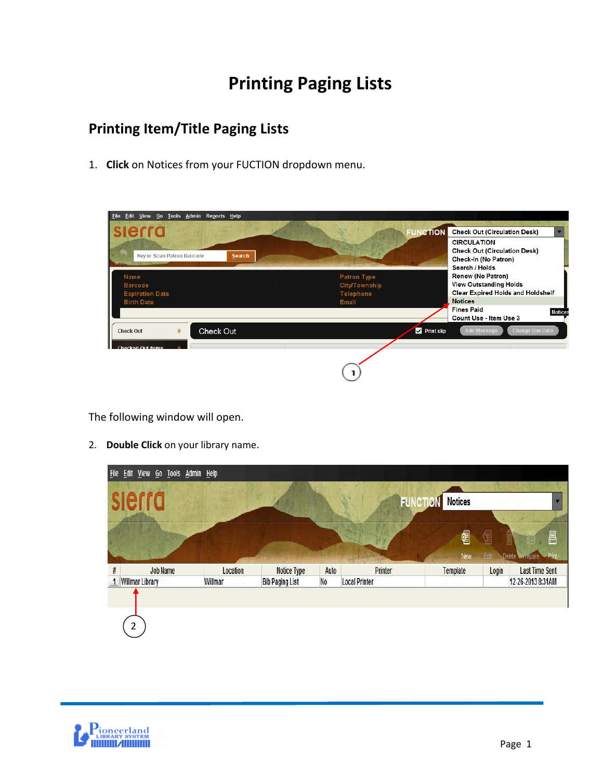## **Printing Paging Lists**

## **Printing Item/Title Paging Lists**

1. **Click** on Notices from your FUCTION dropdown menu.



The following window will open.

2. **Double Click** on your library name.



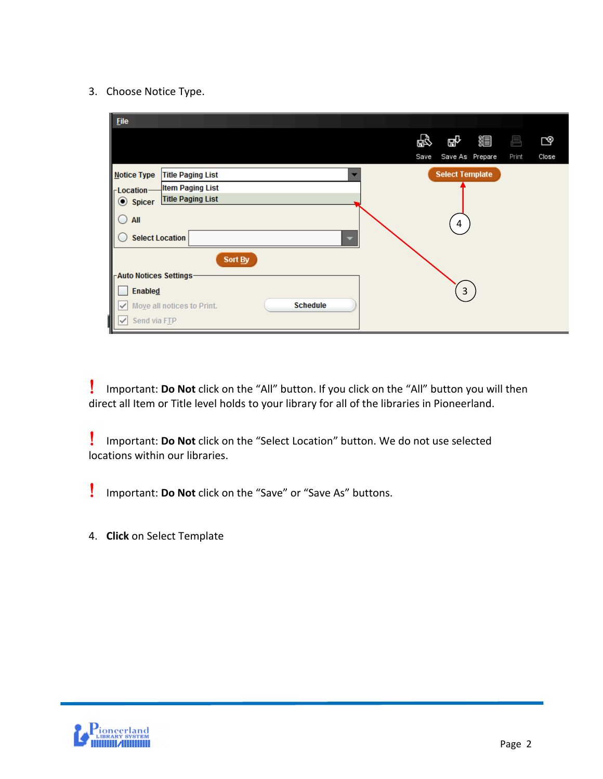## 3. Choose Notice Type.

| Eile                                                                                                                                                        |                         |                |
|-------------------------------------------------------------------------------------------------------------------------------------------------------------|-------------------------|----------------|
|                                                                                                                                                             | 窀<br>ᇚ<br>貆             | 昌<br>⊡⊗        |
|                                                                                                                                                             | Save As Prepare<br>Save | Close<br>Print |
| Notice Type<br><b>Title Paging List</b>                                                                                                                     | <b>Select Template</b>  |                |
| <b>Item Paging List</b><br>-Location-<br><b>Title Paging List</b><br>$\odot$ Spicer<br>$\circ$<br>All<br><b>Select Location</b><br>$\overline{\phantom{a}}$ | 4                       |                |
| Sort By<br>-Auto Notices Settings-<br>▎<br><b>Enabled</b><br><b>Schedule</b><br>Move all notices to Print.<br>∣✓<br>Send via FTP<br>✓                       | 3                       |                |

 Important: **Do Not** <sup>c</sup>lick on the "All" button. If you click on the "All" button you will then direct all Item or Title level holds to your library for all of the libraries in Pioneerland.

 Important: **Do Not** click on the "Select Location" button. We do not use selected locations within our libraries.

Important: **Do Not** click on the "Save" or "Save As" buttons.

4. **Click** on Select Template

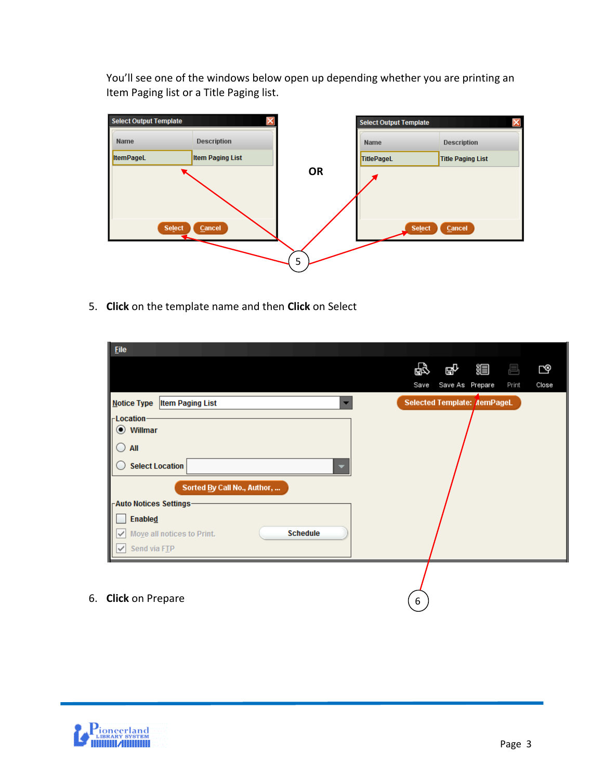You'll see one of the windows below open up depending whether you are printing an Item Paging list or a Title Paging list.



5. **Click** on the template name and then **Click** on Select

| <b>File</b>                                        |                                           |
|----------------------------------------------------|-------------------------------------------|
|                                                    | 留<br>卧<br>貆<br>昌<br>తా                    |
|                                                    | Save As Prepare<br>Print<br>Close<br>Save |
| Notice Type   Item Paging List                     | Selected Template: /temPageL              |
| -Location-<br><b>⊙</b> Willmar                     |                                           |
| All<br>$\rightarrow$                               |                                           |
| <b>Select Location</b><br>▼                        |                                           |
| Sorted By Call No., Author,                        |                                           |
| -Auto Notices Settings                             |                                           |
| Enabled                                            |                                           |
| <b>Schedule</b><br>Move all notices to Print.<br>✓ |                                           |
| Send via FTP<br>✓                                  |                                           |
|                                                    |                                           |
|                                                    |                                           |
| 6. Click on Prepare                                | 6                                         |

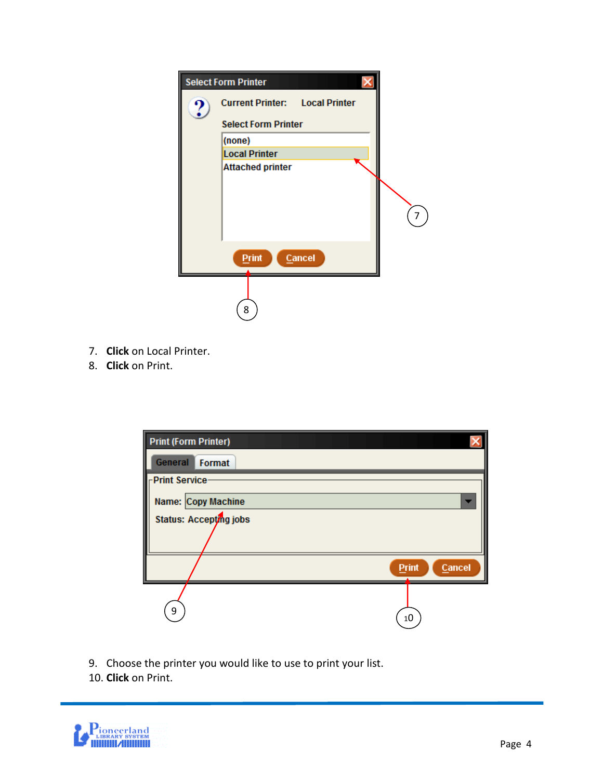| <b>Select Form Printer</b>            |   |
|---------------------------------------|---|
| <b>Current Printer: Local Printer</b> |   |
| <b>Select Form Printer</b>            |   |
| (none)                                |   |
| <b>Local Printer</b>                  |   |
| <b>Attached printer</b>               |   |
| Cancel<br><b>Print</b>                | 7 |
|                                       |   |
| 8                                     |   |

- 7. **Click** on Local Printer.
- 8. **Click** on Print.

| <b>Print (Form Printer)</b>   |                        |
|-------------------------------|------------------------|
| <b>General</b> Format         |                        |
| -Print Service-               |                        |
| Name: Copy Machine<br>I       |                        |
| <b>Status: Accepting jobs</b> |                        |
|                               |                        |
|                               | Cancel<br><b>Print</b> |
| 9                             |                        |
|                               | 10                     |

- 9. Choose the printer you would like to use to print your list.
- 10. **Click** on Print.

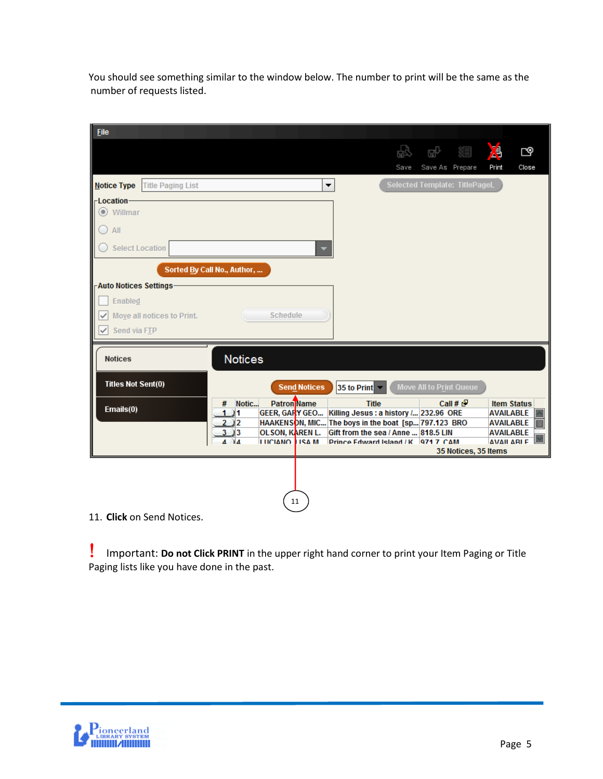You should see something similar to the window below. The number to print will be the same as the number of requests listed.

| Eile                                                                     |                                                                                      |                                                                           |      |                                |                      |                                 |
|--------------------------------------------------------------------------|--------------------------------------------------------------------------------------|---------------------------------------------------------------------------|------|--------------------------------|----------------------|---------------------------------|
|                                                                          |                                                                                      |                                                                           | Æ    | ₩                              | 冯<br>艒               | ⊡⊗                              |
|                                                                          |                                                                                      |                                                                           | Save | Save As Prepare                | Print                | Close                           |
|                                                                          |                                                                                      |                                                                           |      |                                |                      |                                 |
| Notice Type<br><b>Title Paging List</b>                                  |                                                                                      | ▼                                                                         |      | Selected Template: TitlePageL  |                      |                                 |
|                                                                          |                                                                                      |                                                                           |      |                                |                      |                                 |
| Willmar                                                                  |                                                                                      |                                                                           |      |                                |                      |                                 |
|                                                                          |                                                                                      |                                                                           |      |                                |                      |                                 |
| Coloration<br>■ Willin<br>■ © All<br>■ © Selec<br><b>Select Location</b> |                                                                                      |                                                                           |      |                                |                      |                                 |
|                                                                          |                                                                                      |                                                                           |      |                                |                      |                                 |
|                                                                          | Sorted By Call No., Author,                                                          |                                                                           |      |                                |                      |                                 |
|                                                                          |                                                                                      |                                                                           |      |                                |                      |                                 |
| Fauto Notices Settings-<br>■ Enable <u>d</u>                             |                                                                                      |                                                                           |      |                                |                      |                                 |
| Move all notices to Print.                                               | <b>Schedule</b>                                                                      |                                                                           |      |                                |                      |                                 |
| Send via FTP<br>$\checkmark$                                             |                                                                                      |                                                                           |      |                                |                      |                                 |
|                                                                          |                                                                                      |                                                                           |      |                                |                      |                                 |
| $\overline{\phantom{a}}$<br><b>Notices</b>                               | <b>Notices</b>                                                                       |                                                                           |      |                                |                      |                                 |
|                                                                          |                                                                                      |                                                                           |      |                                |                      |                                 |
| <b>Titles Not Sent(0)</b>                                                | <b>Send Notices</b>                                                                  | 35 to Print                                                               |      | <b>Move All to Print Queue</b> |                      |                                 |
|                                                                          | <b>Patron</b> Name<br>Notic<br>#                                                     | <b>Title</b>                                                              |      | Call # $e$                     |                      | <b>Item Status</b>              |
| Emails(0)                                                                | GEER, GARY GEO<br>1 <sup>21</sup>                                                    | Killing Jesus: a history / 232.96 ORE                                     |      |                                |                      | <b>AVAILABLE</b>                |
|                                                                          | 2/2                                                                                  | HAAKENSON, MIC The boys in the boat [sp 797.123 BRO                       |      |                                |                      | <b>AVAILABLE</b>                |
|                                                                          | <b>OLSON, KAREN L.</b><br>3/3<br>$\mathbf{A}$ $\mathbf{A}$<br><b>HICIANO I ISA M</b> | Gift from the sea / Anne  818.5 LIN<br>Prince Edward Island / K 971 7 CAM |      |                                |                      | <b>AVAILABLE</b><br>ΔΥΔΙΙ ΔΡΙ Ε |
|                                                                          |                                                                                      |                                                                           |      |                                | 35 Notices, 35 Items |                                 |
|                                                                          |                                                                                      |                                                                           |      |                                |                      |                                 |
|                                                                          |                                                                                      |                                                                           |      |                                |                      |                                 |
|                                                                          |                                                                                      |                                                                           |      |                                |                      |                                 |
|                                                                          |                                                                                      |                                                                           |      |                                |                      |                                 |
|                                                                          | 11                                                                                   |                                                                           |      |                                |                      |                                 |

11. **Click** on Send Notices.

 Important: **Do not Click PRINT** in the upper right hand corner to print your Item Paging or Title Paging lists like you have done in the past.

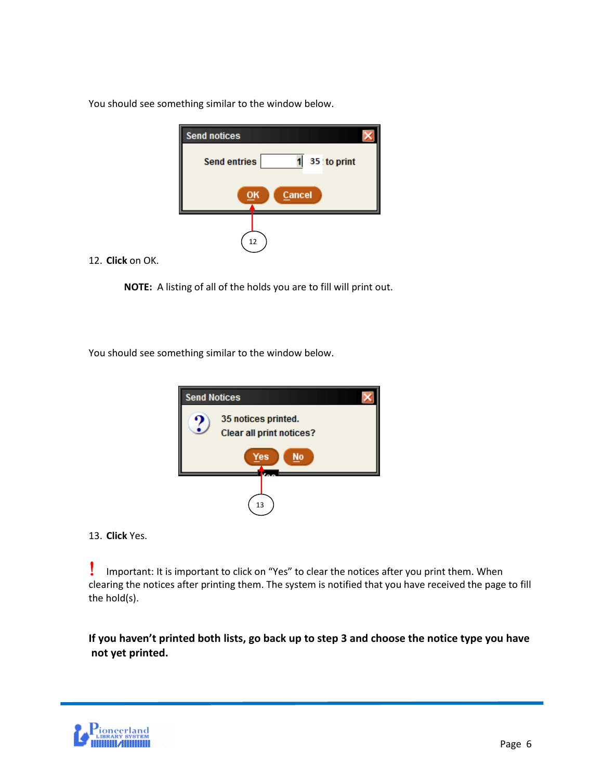You should see something similar to the window below.



12. **Click** on OK.

**NOTE:** A listing of all of the holds you are to fill will print out.

You should see something similar to the window below.



13. **Click** Yes.

Important: It is important to click on "Yes" to clear the notices after you print them. When clearing the notices after printing them. The system is notified that you have received the page to fill the hold(s).

**If you haven't printed both lists, go back up to step 3 and choose the notice type you have not yet printed.**

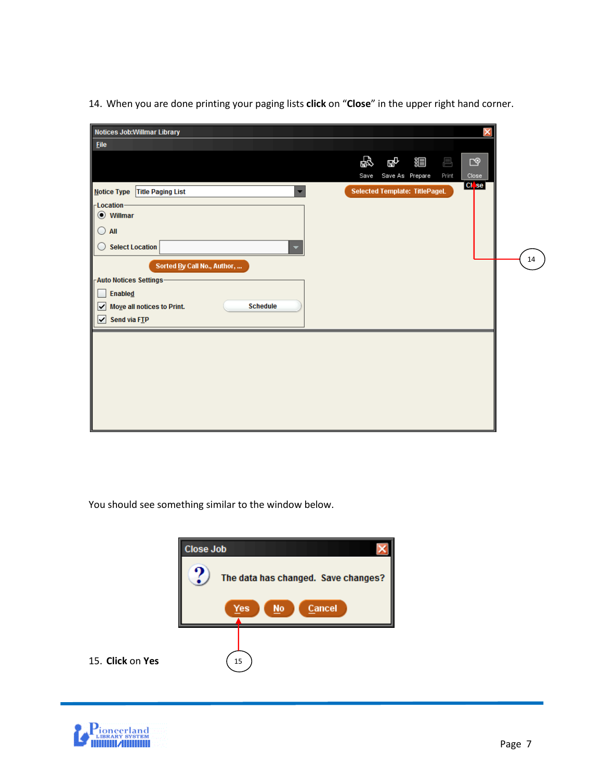| Notices Job: Willmar Library                                                  |    |
|-------------------------------------------------------------------------------|----|
| Eile                                                                          |    |
| 窀<br>땞<br>貆<br>凬<br>$\mathbb{C}^{\circ}$                                      |    |
| Save As Prepare<br>Print<br>Close<br>Save<br>CI. se                           |    |
| Selected Template: TitlePageL<br>Notice Type<br><b>Title Paging List</b><br>٠ |    |
| $r$ Location-                                                                 |    |
| $\odot$ Willmar                                                               |    |
| O<br>All                                                                      |    |
| <b>Select Location</b><br>▼                                                   |    |
| Sorted By Call No., Author,                                                   | 14 |
| -Auto Notices Settings                                                        |    |
| Enabled                                                                       |    |
| <b>Schedule</b><br>$\sqrt{\phantom{a}}$ Move all notices to Print.            |    |
| $\sqrt{\phantom{a}}$ Send via FTP                                             |    |
|                                                                               |    |
|                                                                               |    |
|                                                                               |    |
|                                                                               |    |
|                                                                               |    |
|                                                                               |    |
|                                                                               |    |

14. When you are done printing your paging lists **click** on "**Close**" in the upper right hand corner.

You should see something similar to the window below.



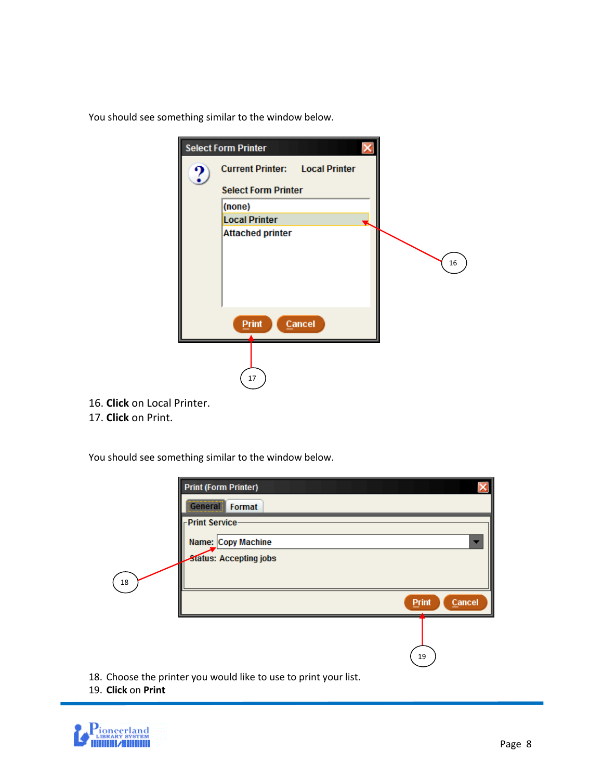You should see something similar to the window below.

|          | <b>Select Form Printer</b>            |    |
|----------|---------------------------------------|----|
| ?        | <b>Current Printer: Local Printer</b> |    |
|          | <b>Select Form Printer</b>            |    |
|          | (none)                                |    |
|          | <b>Local Printer</b>                  |    |
|          | <b>Attached printer</b>               |    |
|          |                                       |    |
|          |                                       | 16 |
|          |                                       |    |
|          |                                       |    |
|          | Cancel<br><b>Print</b>                |    |
|          | 17                                    |    |
| i maturi |                                       |    |

- 16. **Click** on Local Printer.
- 17. **Click** on Print.

You should see something similar to the window below.

|    | <b>Print (Form Printer)</b><br><b>General</b><br>Format          |
|----|------------------------------------------------------------------|
| 18 | -Print Service-<br>Name: Copy Machine<br>Status: Accepting jobs  |
|    | Cancel<br>Print                                                  |
|    | 19                                                               |
|    | 18. Choose the printer you would like to use to print your list. |

19. **Click** on **Print**